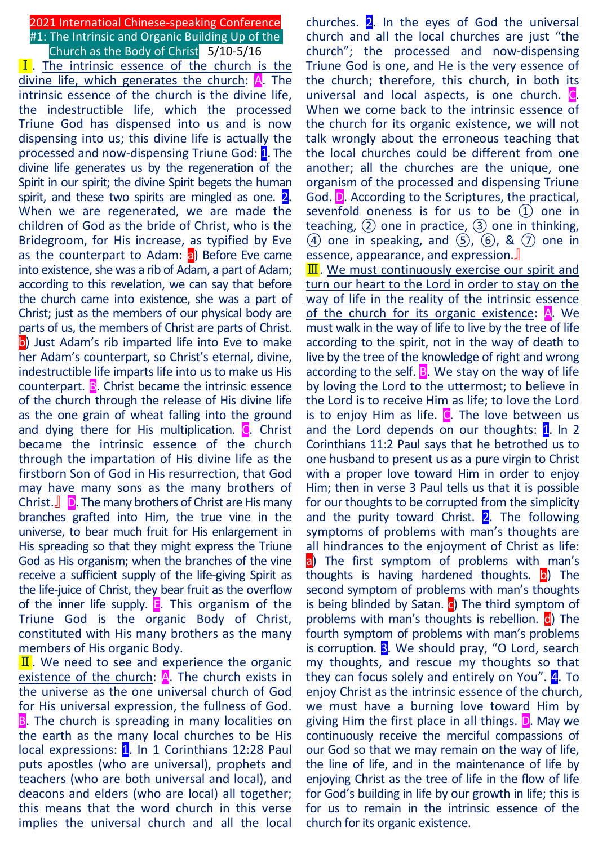# 2021 Internatioal Chinese-speaking Conference #1: The Intrinsic and Organic Building Up of the Church as the Body of Christ  $5/10-5/16$

**I**. The intrinsic essence of the church is the divine life, which generates the church:  $\mathbf{A}$ . The intrinsic essence of the church is the divine life, the indestructible life, which the processed Triune God has dispensed into us and is now dispensing into us; this divine life is actually the processed and now-dispensing Triune God: 1. The divine life generates us by the regeneration of the Spirit in our spirit; the divine Spirit begets the human spirit, and these two spirits are mingled as one.  $2$ . When we are regenerated, we are made the children of God as the bride of Christ, who is the Bridegroom, for His increase, as typified by Eve as the counterpart to Adam:  $\overline{a}$ ) Before Eve came into existence, she was a rib of Adam, a part of Adam; according to this revelation, we can say that before the church came into existence, she was a part of Christ; just as the members of our physical body are parts of us, the members of Christ are parts of Christ. **b**) Just Adam's rib imparted life into Eve to make her Adam's counterpart, so Christ's eternal, divine, indestructible life imparts life into us to make us His counterpart. B. Christ became the intrinsic essence of the church through the release of His divine life as the one grain of wheat falling into the ground and dying there for His multiplication. C. Christ became the intrinsic essence of the church through the impartation of His divine life as the firstborn Son of God in His resurrection, that God may have many sons as the many brothers of Christ.』 D. The many brothers of Christ are His many branches grafted into Him, the true vine in the universe, to bear much fruit for His enlargement in His spreading so that they might express the Triune God as His organism; when the branches of the vine receive a sufficient supply of the life-giving Spirit as the life-juice of Christ, they bear fruit as the overflow of the inner life supply.  $E$ . This organism of the Triune God is the organic Body of Christ, constituted with His many brothers as the many members of His organic Body.

 $\mathbf{I}$ . We need to see and experience the organic existence of the church:  $A$ . The church exists in the universe as the one universal church of God for His universal expression, the fullness of God. **B**. The church is spreading in many localities on the earth as the many local churches to be His local expressions: 1. In 1 Corinthians 12:28 Paul puts apostles (who are universal), prophets and teachers (who are both universal and local), and deacons and elders (who are local) all together; this means that the word church in this verse implies the universal church and all the local

churches.  $2$ . In the eyes of God the universal church and all the local churches are just "the church"; the processed and now-dispensing Triune God is one, and He is the very essence of the church; therefore, this church, in both its universal and local aspects, is one church. C. When we come back to the intrinsic essence of the church for its organic existence, we will not talk wrongly about the erroneous teaching that the local churches could be different from one another; all the churches are the unique, one organism of the processed and dispensing Triune God. D. According to the Scriptures, the practical, sevenfold oneness is for us to be  $(1)$  one in teaching,  $(2)$  one in practice,  $(3)$  one in thinking,  $(4)$  one in speaking, and  $(5)$ ,  $(6)$ , &  $(7)$  one in essence, appearance, and expression.』

 $\overline{\mathbf{II}}$ . We must continuously exercise our spirit and turn our heart to the Lord in order to stay on the way of life in the reality of the intrinsic essence of the church for its organic existence: A. We must walk in the way of life to live by the tree of life according to the spirit, not in the way of death to live by the tree of the knowledge of right and wrong according to the self.  $\overline{B}$ . We stay on the way of life by loving the Lord to the uttermost; to believe in the Lord is to receive Him as life; to love the Lord is to enjoy Him as life.  $\mathbb C$ . The love between us and the Lord depends on our thoughts:  $1$ . In 2 Corinthians 11:2 Paul says that he betrothed us to one husband to present us as a pure virgin to Christ with a proper love toward Him in order to enjoy Him; then in verse 3 Paul tells us that it is possible for our thoughts to be corrupted from the simplicity and the purity toward Christ.  $2$ . The following symptoms of problems with man's thoughts are all hindrances to the enjoyment of Christ as life: a) The first symptom of problems with man's thoughts is having hardened thoughts.  $\vert$ o) The second symptom of problems with man's thoughts is being blinded by Satan.  $\overline{c}$ ) The third symptom of problems with man's thoughts is rebellion. d) The fourth symptom of problems with man's problems is corruption. **3.** We should pray, "O Lord, search my thoughts, and rescue my thoughts so that they can focus solely and entirely on You". 4. To enjoy Christ as the intrinsic essence of the church, we must have a burning love toward Him by giving Him the first place in all things.  $\Box$ . May we continuously receive the merciful compassions of our God so that we may remain on the way of life, the line of life, and in the maintenance of life by enjoying Christ as the tree of life in the flow of life for God's building in life by our growth in life; this is for us to remain in the intrinsic essence of the church for its organic existence.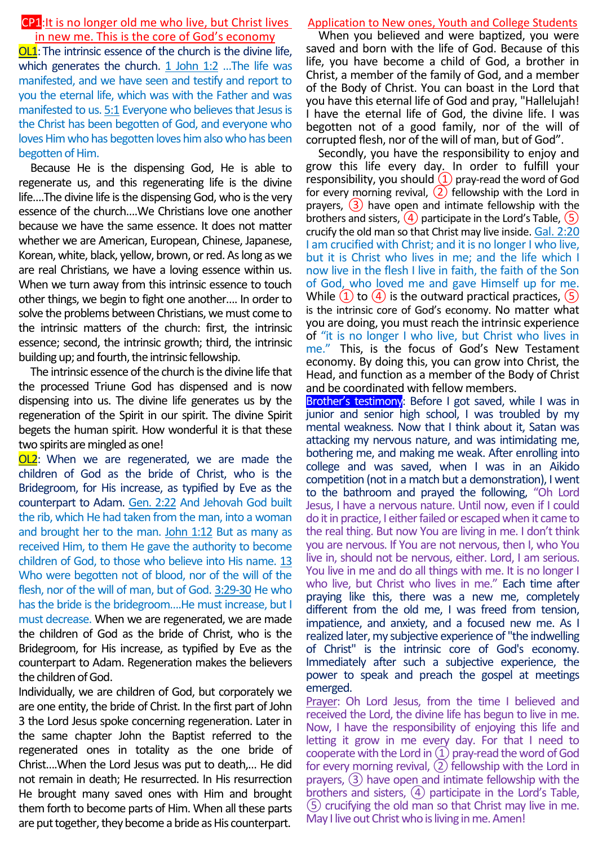# CP1:It is no longer old me who live, but Christ lives in new me. This is the core of God's economy

OL1:The intrinsic essence of the church is the divine life, which generates the church. 1 John 1:2 ... The life was manifested, and we have seen and testify and report to you the eternal life, which was with the Father and was manifested to us. 5:1 Everyone who believes that Jesus is the Christ has been begotten of God, and everyone who loves Him who has begotten loves him also who has been begotten of Him.

Because He is the dispensing God, He is able to regenerate us, and this regenerating life is the divine life….The divine life is the dispensing God, who is the very essence of the church….We Christians love one another because we have the same essence. It does not matter whether we are American, European, Chinese, Japanese, Korean, white, black, yellow, brown, or red. As long as we are real Christians, we have a loving essence within us. When we turn away from this intrinsic essence to touch other things, we begin to fight one another…. In order to solve the problems between Christians, we must come to the intrinsic matters of the church: first, the intrinsic essence; second, the intrinsic growth; third, the intrinsic building up; and fourth, the intrinsic fellowship.

The intrinsic essence of the church is the divine life that the processed Triune God has dispensed and is now dispensing into us. The divine life generates us by the regeneration of the Spirit in our spirit. The divine Spirit begets the human spirit. How wonderful it is that these two spirits are mingled as one!

**OL2**: When we are regenerated, we are made the children of God as the bride of Christ, who is the Bridegroom, for His increase, as typified by Eve as the counterpart to Adam. Gen. 2:22 And Jehovah God built the rib, which He had taken from the man, into a woman and brought her to the man. John 1:12 But as many as received Him, to them He gave the authority to become children of God, to those who believe into His name. 13 Who were begotten not of blood, nor of the will of the flesh, nor of the will of man, but of God. 3:29-30 He who has the bride is the bridegroom....He must increase, but I must decrease. When we are regenerated, we are made the children of God as the bride of Christ, who is the Bridegroom, for His increase, as typified by Eve as the counterpart to Adam. Regeneration makes the believers the children of God.

Individually, we are children of God, but corporately we are one entity, the bride of Christ. In the first part of John 3 the Lord Jesus spoke concerning regeneration. Later in the same chapter John the Baptist referred to the regenerated ones in totality as the one bride of Christ….When the Lord Jesus was put to death,… He did not remain in death; He resurrected. In His resurrection He brought many saved ones with Him and brought them forth to become parts of Him. When all these parts are put together, they become a bride as His counterpart.

# Application to New ones, Youth and College Students

When you believed and were baptized, you were saved and born with the life of God. Because of this life, you have become a child of God, a brother in Christ, a member of the family of God, and a member of the Body of Christ. You can boast in the Lord that you have this eternal life of God and pray, "Hallelujah! I have the eternal life of God, the divine life. I was begotten not of a good family, nor of the will of corrupted flesh, nor of the will of man, but of God".

Secondly, you have the responsibility to enjoy and grow this life every day. In order to fulfill your responsibility, you should  $(1)$  pray-read the word of God for every morning revival,  $(2)$  fellowship with the Lord in prayers,  $(3)$  have open and intimate fellowship with the brothers and sisters,  $(4)$  participate in the Lord's Table,  $(5)$ crucify the old man so that Christ may live inside. Gal. 2:20 I am crucified with Christ; and it is no longer I who live, but it is Christ who lives in me; and the life which I now live in the flesh I live in faith, the faith of the Son of God, who loved me and gave Himself up for me. While  $(1)$  to  $(4)$  is the outward practical practices,  $(5)$ is the intrinsic core of God's economy. No matter what you are doing, you must reach the intrinsic experience of "it is no longer I who live, but Christ who lives in me." This, is the focus of God's New Testament economy. By doing this, you can grow into Christ, the Head, and function as a member of the Body of Christ and be coordinated with fellow members.

Brother's testimony: Before I got saved, while I was in junior and senior high school, I was troubled by my mental weakness. Now that I think about it, Satan was attacking my nervous nature, and was intimidating me, bothering me, and making me weak. After enrolling into college and was saved, when I was in an Aikido competition (not in a match but a demonstration), I went to the bathroom and prayed the following, "Oh Lord Jesus, I have a nervous nature. Until now, even if I could do it in practice, I either failed or escaped when it came to the real thing. But now You are living in me. I don't think you are nervous. If You are not nervous, then I, who You live in, should not be nervous, either. Lord, I am serious. You live in me and do all things with me. It is no longer I who live, but Christ who lives in me." Each time after praying like this, there was a new me, completely different from the old me, I was freed from tension, impatience, and anxiety, and a focused new me. As I realized later, my subjective experience of "the indwelling of Christ" is the intrinsic core of God's economy. Immediately after such a subjective experience, the power to speak and preach the gospel at meetings emerged.

Prayer: Oh Lord Jesus, from the time I believed and received the Lord, the divine life has begun to live in me. Now, I have the responsibility of enjoying this life and letting it grow in me every day. For that I need to cooperate with the Lord in ①pray-read the word of God for every morning revival,  $(2)$  fellowship with the Lord in prayers, ③ have open and intimate fellowship with the brothers and sisters, ④ participate in the Lord's Table, ⑤ crucifying the old man so that Christ may live in me. May I live out Christ who is living in me. Amen!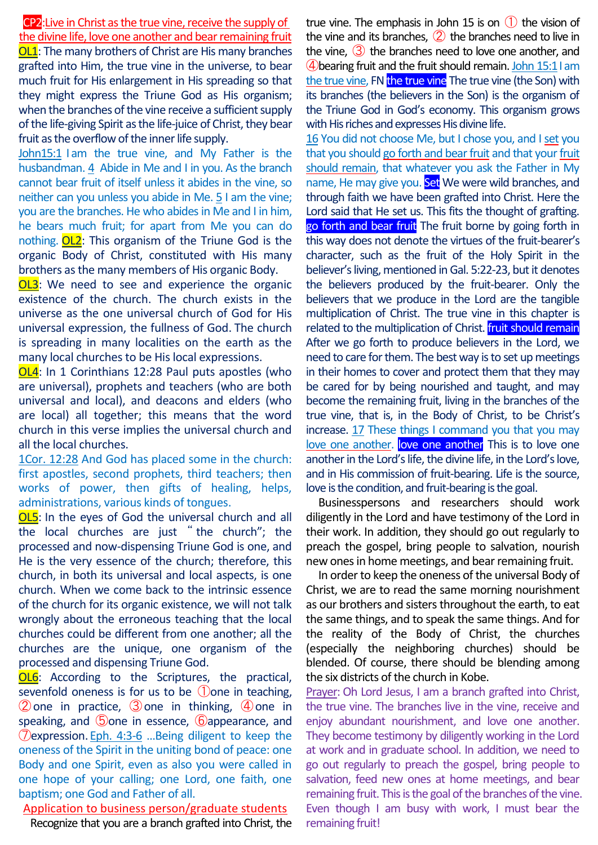CP2:Live in Christ as the true vine, receive the supply of the divine life, love one another and bear remaining fruit OL1: The many brothers of Christ are His many branches grafted into Him, the true vine in the universe, to bear much fruit for His enlargement in His spreading so that they might express the Triune God as His organism; when the branches of the vine receive a sufficient supply of the life-giving Spirit as the life-juice of Christ, they bear fruit as the overflow of the inner life supply.

John15:1 I am the true vine, and My Father is the husbandman. 4 Abide in Me and I in you. As the branch cannot bear fruit of itself unless it abides in the vine, so neither can you unless you abide in Me. 5 I am the vine; you are the branches. He who abides in Me and I in him, he bears much fruit; for apart from Me you can do nothing. OL2: This organism of the Triune God is the organic Body of Christ, constituted with His many brothers as the many members of His organic Body.

**OL3**: We need to see and experience the organic existence of the church. The church exists in the universe as the one universal church of God for His universal expression, the fullness of God. The church is spreading in many localities on the earth as the many local churches to be His local expressions.

OL4: In 1 Corinthians 12:28 Paul puts apostles (who are universal), prophets and teachers (who are both universal and local), and deacons and elders (who are local) all together; this means that the word church in this verse implies the universal church and all the local churches.

1Cor. 12:28 And God has placed some in the church: first apostles, second prophets, third teachers; then works of power, then gifts of healing, helps, administrations, various kinds of tongues.

OL5: In the eyes of God the universal church and all the local churches are just " the church"; the processed and now-dispensing Triune God is one, and He is the very essence of the church; therefore, this church, in both its universal and local aspects, is one church. When we come back to the intrinsic essence of the church for its organic existence, we will not talk wrongly about the erroneous teaching that the local churches could be different from one another; all the churches are the unique, one organism of the processed and dispensing Triune God.

OL6: According to the Scriptures, the practical, sevenfold oneness is for us to be  $\bigcirc$  one in teaching,  $(2)$  one in practice,  $(3)$  one in thinking,  $(4)$  one in speaking, and **5** one in essence, **6** appearance, and ⑦expression. Eph. 4:3-6 …Being diligent to keep the oneness of the Spirit in the uniting bond of peace: one Body and one Spirit, even as also you were called in one hope of your calling; one Lord, one faith, one baptism; one God and Father of all.

Application to business person/graduate students

Recognize that you are a branch grafted into Christ, the

true vine. The emphasis in John 15 is on  $\bigcirc$  the vision of the vine and its branches,  $(2)$  the branches need to live in the vine, ③ the branches need to love one another, and  $\bigoplus$  bearing fruit and the fruit should remain. John 15:1 I am the true vine, FN the true vine The true vine (the Son) with its branches (the believers in the Son) is the organism of the Triune God in God's economy. This organism grows with His riches and expresses His divine life.

16 You did not choose Me, but I chose you, and I set you that you should go forth and bear fruit and that your fruit should remain, that whatever you ask the Father in My name, He may give you. Set We were wild branches, and through faith we have been grafted into Christ. Here the Lord said that He set us. This fits the thought of grafting. go forth and bear fruit The fruit borne by going forth in this way does not denote the virtues of the fruit-bearer's character, such as the fruit of the Holy Spirit in the believer's living, mentioned in Gal. 5:22-23, but it denotes the believers produced by the fruit-bearer. Only the believers that we produce in the Lord are the tangible multiplication of Christ. The true vine in this chapter is related to the multiplication of Christ. **fruit should remain** After we go forth to produce believers in the Lord, we need to care for them. The best way is to set up meetings in their homes to cover and protect them that they may be cared for by being nourished and taught, and may become the remaining fruit, living in the branches of the true vine, that is, in the Body of Christ, to be Christ's increase. 17 These things I command you that you may love one another. love one another This is to love one another in the Lord's life, the divine life, in the Lord's love, and in His commission of fruit-bearing. Life is the source, love is the condition, and fruit-bearing is the goal.

Businesspersons and researchers should work diligently in the Lord and have testimony of the Lord in their work. In addition, they should go out regularly to preach the gospel, bring people to salvation, nourish new onesin home meetings, and bear remaining fruit.

In order to keep the oneness of the universal Body of Christ, we are to read the same morning nourishment as our brothers and sisters throughout the earth, to eat the same things, and to speak the same things. And for the reality of the Body of Christ, the churches (especially the neighboring churches) should be blended. Of course, there should be blending among the six districts of the church in Kobe.

Prayer: Oh Lord Jesus, I am a branch grafted into Christ, the true vine. The branches live in the vine, receive and enjoy abundant nourishment, and love one another. They become testimony by diligently working in the Lord at work and in graduate school. In addition, we need to go out regularly to preach the gospel, bring people to salvation, feed new ones at home meetings, and bear remaining fruit. This is the goal of the branches of the vine. Even though I am busy with work, I must bear the remaining fruit!